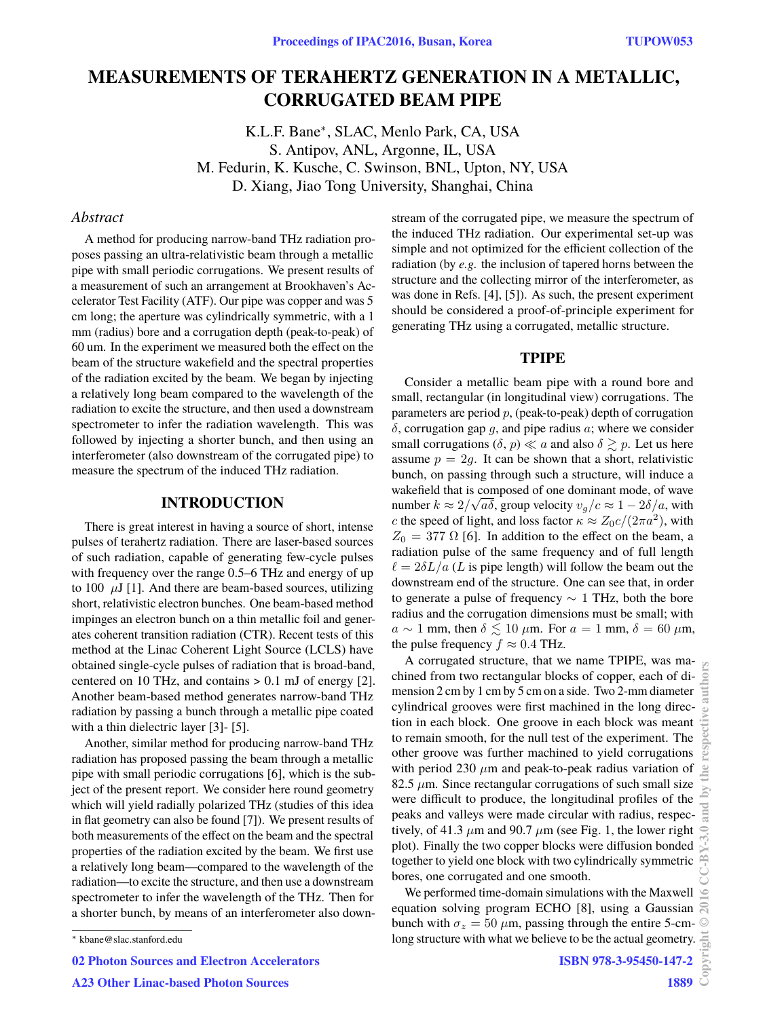# **MEASUREMENTS OF TERAHERTZ GENERATION IN A METALLIC, CORRUGATED BEAM PIPE**

K.L.F. Bane<sup>∗</sup> , SLAC, Menlo Park, CA, USA S. Antipov, ANL, Argonne, IL, USA M. Fedurin, K. Kusche, C. Swinson, BNL, Upton, NY, USA D. Xiang, Jiao Tong University, Shanghai, China

# *Abstract*

A method for producing narrow-band THz radiation proposes passing an ultra-relativistic beam through a metallic pipe with small periodic corrugations. We present results of a measurement of such an arrangement at Brookhaven's Accelerator Test Facility (ATF). Our pipe was copper and was 5 cm long; the aperture was cylindrically symmetric, with a 1 mm (radius) bore and a corrugation depth (peak-to-peak) of 60 um. In the experiment we measured both the effect on the beam of the structure wakefield and the spectral properties of the radiation excited by the beam. We began by injecting a relatively long beam compared to the wavelength of the radiation to excite the structure, and then used a downstream spectrometer to infer the radiation wavelength. This was followed by injecting a shorter bunch, and then using an interferometer (also downstream of the corrugated pipe) to measure the spectrum of the induced THz radiation.

# **INTRODUCTION**

There is great interest in having a source of short, intense pulses of terahertz radiation. There are laser-based sources of such radiation, capable of generating few-cycle pulses with frequency over the range 0.5–6 THz and energy of up to  $100 \mu J$  [1]. And there are beam-based sources, utilizing short, relativistic electron bunches. One beam-based method impinges an electron bunch on a thin metallic foil and generates coherent transition radiation (CTR). Recent tests of this method at the Linac Coherent Light Source (LCLS) have obtained single-cycle pulses of radiation that is broad-band, centered on 10 THz, and contains  $> 0.1$  mJ of energy [2]. Another beam-based method generates narrow-band THz radiation by passing a bunch through a metallic pipe coated with a thin dielectric layer [3]- [5].

Another, similar method for producing narrow-band THz radiation has proposed passing the beam through a metallic pipe with small periodic corrugations [6], which is the subject of the present report. We consider here round geometry which will yield radially polarized THz (studies of this idea in flat geometry can also be found [7]). We present results of both measurements of the effect on the beam and the spectral properties of the radiation excited by the beam. We first use a relatively long beam—compared to the wavelength of the radiation—to excite the structure, and then use a downstream spectrometer to infer the wavelength of the THz. Then for a shorter bunch, by means of an interferometer also down-

02 Photon Sources and Electron Accelerators

stream of the corrugated pipe, we measure the spectrum of the induced THz radiation. Our experimental set-up was simple and not optimized for the efficient collection of the radiation (by *e.g.* the inclusion of tapered horns between the structure and the collecting mirror of the interferometer, as was done in Refs. [4], [5]). As such, the present experiment should be considered a proof-of-principle experiment for generating THz using a corrugated, metallic structure.

### **TPIPE**

Consider a metallic beam pipe with a round bore and small, rectangular (in longitudinal view) corrugations. The parameters are period *p*, (peak-to-peak) depth of corrugation *δ*, corrugation gap *g*, and pipe radius *a*; where we consider small corrugations  $(\delta, p) \ll a$  and also  $\delta \gtrsim p$ . Let us here assume  $p = 2q$ . It can be shown that a short, relativistic bunch, on passing through such a structure, will induce a wakefield that is composed of one dominant mode, of wave number  $k \approx 2/\sqrt{a\delta}$ , group velocity  $v_g/c \approx 1 - 2\delta/a$ , with *c* the speed of light, and loss factor  $\kappa \approx Z_0 c/(2\pi a^2)$ , with  $Z_0 = 377 \Omega$  [6]. In addition to the effect on the beam, a radiation pulse of the same frequency and of full length  $\ell = 2\delta L/a$  (*L* is pipe length) will follow the beam out the downstream end of the structure. One can see that, in order to generate a pulse of frequency ∼ 1 THz, both the bore radius and the corrugation dimensions must be small; with  $a \sim 1$  mm, then  $\delta \lesssim 10 \ \mu \text{m}$ . For  $a = 1 \text{ mm}$ ,  $\delta = 60 \ \mu \text{m}$ , the pulse frequency  $f \approx 0.4$  THz.

A corrugated structure, that we name TPIPE, was machined from two rectangular blocks of copper, each of dimension 2 cm by 1 cm by 5 cm on a side. Two 2-mm diameter cylindrical grooves were first machined in the long direction in each block. One groove in each block was meant to remain smooth, for the null test of the experiment. The other groove was further machined to yield corrugations with period 230 *µ*m and peak-to-peak radius variation of  $82.5 \mu m$ . Since rectangular corrugations of such small size were difficult to produce, the longitudinal profiles of the peaks and valleys were made circular with radius, respectively, of 41.3  $\mu$ m and 90.7  $\mu$ m (see Fig. 1, the lower right plot). Finally the two copper blocks were diffusion bonded together to yield one block with two cylindrically symmetric bores, one corrugated and one smooth.

We performed time-domain simulations with the Maxwell equation solving program ECHO [8], using a Gaussian bunch with  $\sigma_z = 50 \ \mu \text{m}$ , passing through the entire 5-cmlong structure with what we believe to be the actual geometry.

1889

<sup>∗</sup> kbane@slac.stanford.edu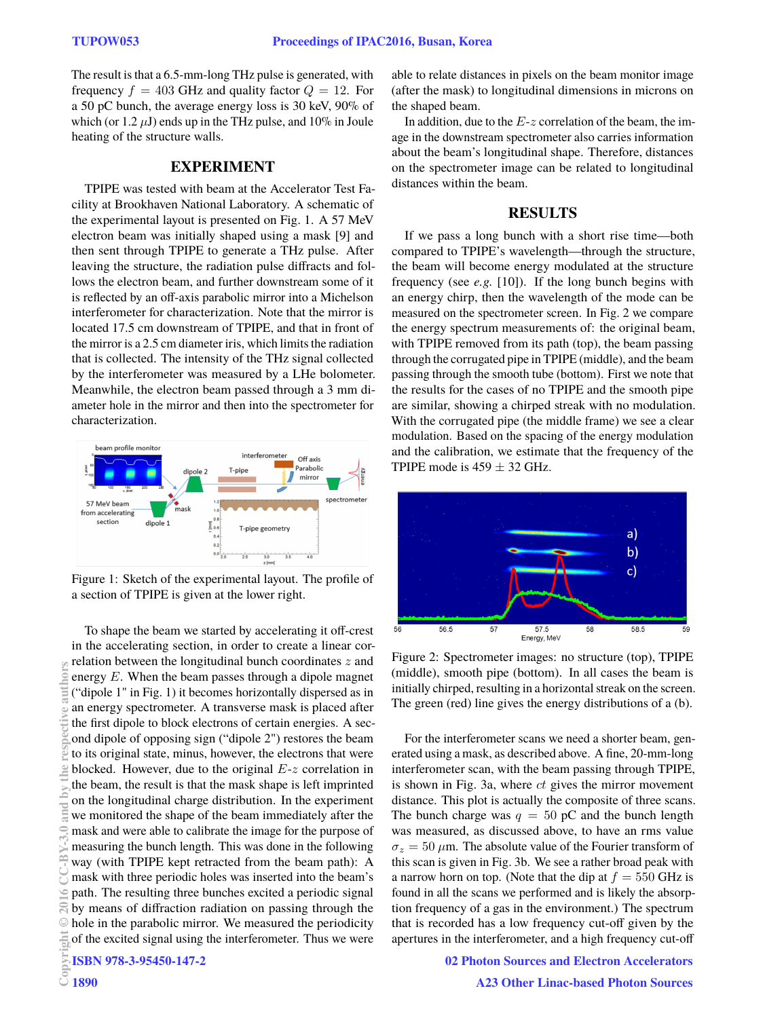The result is that a 6.5-mm-long THz pulse is generated, with frequency  $f = 403$  GHz and quality factor  $Q = 12$ . For a 50 pC bunch, the average energy loss is 30 keV, 90% of which (or  $1.2 \mu J$ ) ends up in the THz pulse, and  $10\%$  in Joule heating of the structure walls.

# **EXPERIMENT**

TPIPE was tested with beam at the Accelerator Test Facility at Brookhaven National Laboratory. A schematic of the experimental layout is presented on Fig. 1. A 57 MeV electron beam was initially shaped using a mask [9] and then sent through TPIPE to generate a THz pulse. After leaving the structure, the radiation pulse diffracts and follows the electron beam, and further downstream some of it is reflected by an off-axis parabolic mirror into a Michelson interferometer for characterization. Note that the mirror is located 17.5 cm downstream of TPIPE, and that in front of the mirror is a 2.5 cm diameter iris, which limits the radiation that is collected. The intensity of the THz signal collected by the interferometer was measured by a LHe bolometer. Meanwhile, the electron beam passed through a 3 mm diameter hole in the mirror and then into the spectrometer for characterization.



Figure 1: Sketch of the experimental layout. The profile of a section of TPIPE is given at the lower right.

To shape the beam we started by accelerating it off-crest in the accelerating section, in order to create a linear correlation between the longitudinal bunch coordinates *z* and energy *E*. When the beam passes through a dipole magnet ("dipole 1" in Fig. 1) it becomes horizontally dispersed as in an energy spectrometer. A transverse mask is placed after the first dipole to block electrons of certain energies. A second dipole of opposing sign ("dipole 2") restores the beam to its original state, minus, however, the electrons that were blocked. However, due to the original *E*-*z* correlation in the beam, the result is that the mask shape is left imprinted on the longitudinal charge distribution. In the experiment we monitored the shape of the beam immediately after the mask and were able to calibrate the image for the purpose of measuring the bunch length. This was done in the following way (with TPIPE kept retracted from the beam path): A mask with three periodic holes was inserted into the beam's path. The resulting three bunches excited a periodic signal by means of diffraction radiation on passing through the hole in the parabolic mirror. We measured the periodicity of the excited signal using the interferometer. Thus we were ISBN 978-3-95450-147-2 Copyright Copyright Copyright Copyright Copyright Copyright Copyright Copyright Copyright Copyright Copyright Copyright Copyright Copyright Copyright Copyright Copyright Copyright Copyright Copyright Copyright Copyright C

able to relate distances in pixels on the beam monitor image (after the mask) to longitudinal dimensions in microns on the shaped beam.

In addition, due to the *E*-*z* correlation of the beam, the image in the downstream spectrometer also carries information about the beam's longitudinal shape. Therefore, distances on the spectrometer image can be related to longitudinal distances within the beam.

# **RESULTS**

If we pass a long bunch with a short rise time—both compared to TPIPE's wavelength—through the structure, the beam will become energy modulated at the structure frequency (see *e.g.* [10]). If the long bunch begins with an energy chirp, then the wavelength of the mode can be measured on the spectrometer screen. In Fig. 2 we compare the energy spectrum measurements of: the original beam, with TPIPE removed from its path (top), the beam passing through the corrugated pipe in TPIPE (middle), and the beam passing through the smooth tube (bottom). First we note that the results for the cases of no TPIPE and the smooth pipe are similar, showing a chirped streak with no modulation. With the corrugated pipe (the middle frame) we see a clear modulation. Based on the spacing of the energy modulation and the calibration, we estimate that the frequency of the TPIPE mode is  $459 \pm 32$  GHz.



Figure 2: Spectrometer images: no structure (top), TPIPE (middle), smooth pipe (bottom). In all cases the beam is initially chirped, resulting in a horizontal streak on the screen. The green (red) line gives the energy distributions of a (b).

For the interferometer scans we need a shorter beam, generated using a mask, as described above. A fine, 20-mm-long interferometer scan, with the beam passing through TPIPE, is shown in Fig. 3a, where *ct* gives the mirror movement distance. This plot is actually the composite of three scans. The bunch charge was  $q = 50$  pC and the bunch length was measured, as discussed above, to have an rms value  $\sigma_z = 50 \ \mu \text{m}$ . The absolute value of the Fourier transform of this scan is given in Fig. 3b. We see a rather broad peak with a narrow horn on top. (Note that the dip at  $f = 550$  GHz is found in all the scans we performed and is likely the absorption frequency of a gas in the environment.) The spectrum that is recorded has a low frequency cut-off given by the apertures in the interferometer, and a high frequency cut-off

02 Photon Sources and Electron Accelerators